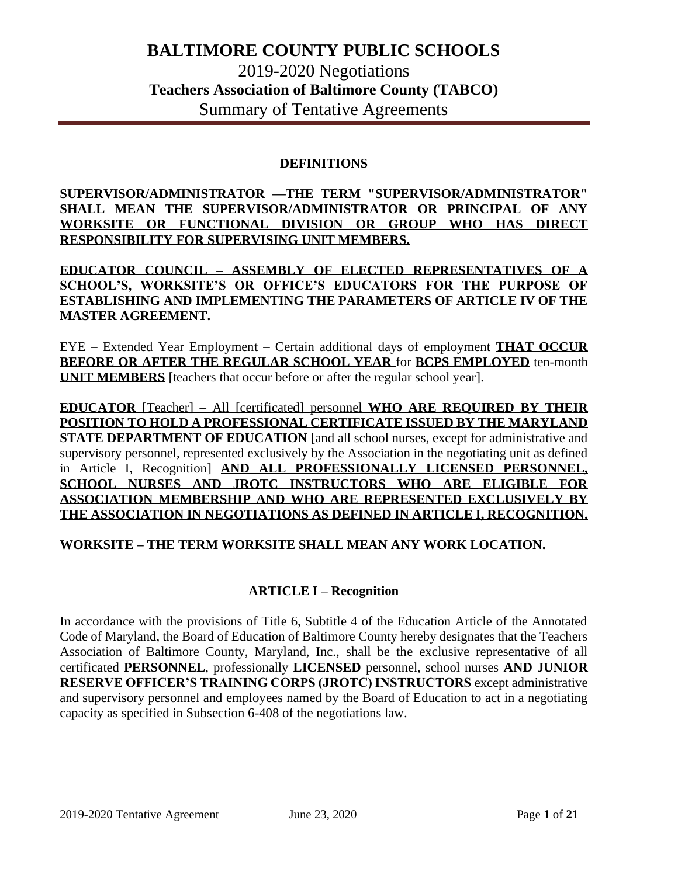#### **DEFINITIONS**

**SUPERVISOR/ADMINISTRATOR —THE TERM "SUPERVISOR/ADMINISTRATOR" SHALL MEAN THE SUPERVISOR/ADMINISTRATOR OR PRINCIPAL OF ANY WORKSITE OR FUNCTIONAL DIVISION OR GROUP WHO HAS DIRECT RESPONSIBILITY FOR SUPERVISING UNIT MEMBERS.** 

**EDUCATOR COUNCIL – ASSEMBLY OF ELECTED REPRESENTATIVES OF A SCHOOL'S, WORKSITE'S OR OFFICE'S EDUCATORS FOR THE PURPOSE OF ESTABLISHING AND IMPLEMENTING THE PARAMETERS OF ARTICLE IV OF THE MASTER AGREEMENT.** 

EYE – Extended Year Employment – Certain additional days of employment **THAT OCCUR BEFORE OR AFTER THE REGULAR SCHOOL YEAR** for **BCPS EMPLOYED** ten-month **UNIT MEMBERS** [teachers that occur before or after the regular school year].

**EDUCATOR** [Teacher] **–** All [certificated] personnel **WHO ARE REQUIRED BY THEIR POSITION TO HOLD A PROFESSIONAL CERTIFICATE ISSUED BY THE MARYLAND STATE DEPARTMENT OF EDUCATION** [and all school nurses, except for administrative and supervisory personnel, represented exclusively by the Association in the negotiating unit as defined in Article I, Recognition] **AND ALL PROFESSIONALLY LICENSED PERSONNEL, SCHOOL NURSES AND JROTC INSTRUCTORS WHO ARE ELIGIBLE FOR ASSOCIATION MEMBERSHIP AND WHO ARE REPRESENTED EXCLUSIVELY BY THE ASSOCIATION IN NEGOTIATIONS AS DEFINED IN ARTICLE I, RECOGNITION.**

### **WORKSITE – THE TERM WORKSITE SHALL MEAN ANY WORK LOCATION.**

### **ARTICLE I – Recognition**

In accordance with the provisions of Title 6, Subtitle 4 of the Education Article of the Annotated Code of Maryland, the Board of Education of Baltimore County hereby designates that the Teachers Association of Baltimore County, Maryland, Inc., shall be the exclusive representative of all certificated **PERSONNEL**, professionally **LICENSED** personnel, school nurses **AND JUNIOR RESERVE OFFICER'S TRAINING CORPS (JROTC) INSTRUCTORS** except administrative and supervisory personnel and employees named by the Board of Education to act in a negotiating capacity as specified in Subsection 6-408 of the negotiations law.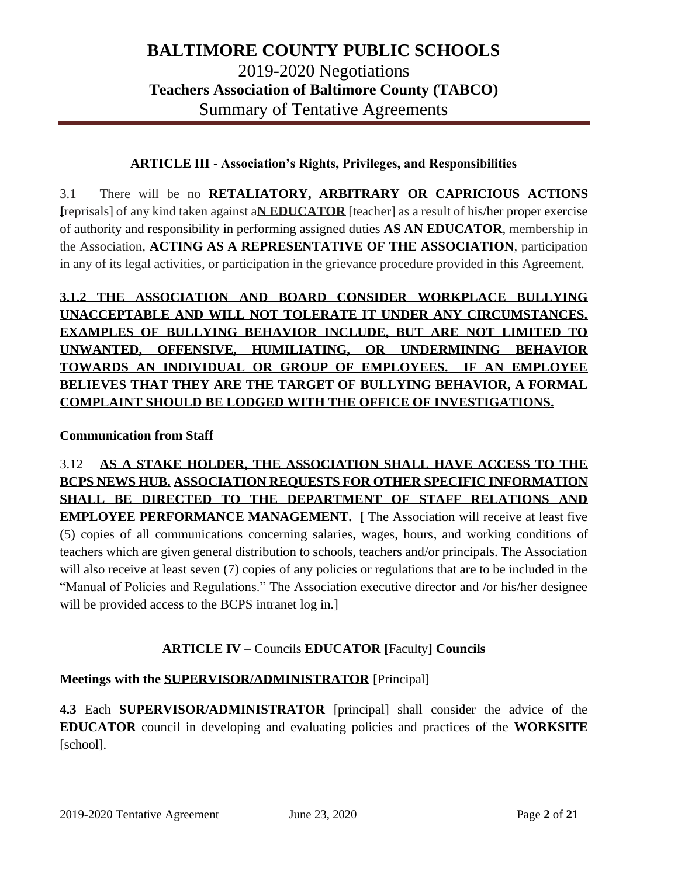## **ARTICLE III - Association's Rights, Privileges, and Responsibilities**

3.1 There will be no **RETALIATORY, ARBITRARY OR CAPRICIOUS ACTIONS [**reprisals] of any kind taken against a**N EDUCATOR** [teacher] as a result of his/her proper exercise of authority and responsibility in performing assigned duties **AS AN EDUCATOR**, membership in the Association, **ACTING AS A REPRESENTATIVE OF THE ASSOCIATION**, participation in any of its legal activities, or participation in the grievance procedure provided in this Agreement.

# **3.1.2 THE ASSOCIATION AND BOARD CONSIDER WORKPLACE BULLYING UNACCEPTABLE AND WILL NOT TOLERATE IT UNDER ANY CIRCUMSTANCES. EXAMPLES OF BULLYING BEHAVIOR INCLUDE, BUT ARE NOT LIMITED TO UNWANTED, OFFENSIVE, HUMILIATING, OR UNDERMINING BEHAVIOR TOWARDS AN INDIVIDUAL OR GROUP OF EMPLOYEES. IF AN EMPLOYEE BELIEVES THAT THEY ARE THE TARGET OF BULLYING BEHAVIOR, A FORMAL COMPLAINT SHOULD BE LODGED WITH THE OFFICE OF INVESTIGATIONS.**

## **Communication from Staff**

3.12 **AS A STAKE HOLDER, THE ASSOCIATION SHALL HAVE ACCESS TO THE BCPS NEWS HUB. ASSOCIATION REQUESTS FOR OTHER SPECIFIC INFORMATION SHALL BE DIRECTED TO THE DEPARTMENT OF STAFF RELATIONS AND EMPLOYEE PERFORMANCE MANAGEMENT. [** The Association will receive at least five (5) copies of all communications concerning salaries, wages, hours, and working conditions of teachers which are given general distribution to schools, teachers and/or principals. The Association will also receive at least seven (7) copies of any policies or regulations that are to be included in the "Manual of Policies and Regulations." The Association executive director and /or his/her designee will be provided access to the BCPS intranet  $log$  in.]

## **ARTICLE IV** – Councils **EDUCATOR [**Faculty**] Councils**

## **Meetings with the SUPERVISOR/ADMINISTRATOR** [Principal]

**4.3** Each **SUPERVISOR/ADMINISTRATOR** [principal] shall consider the advice of the **EDUCATOR** council in developing and evaluating policies and practices of the **WORKSITE**  [school].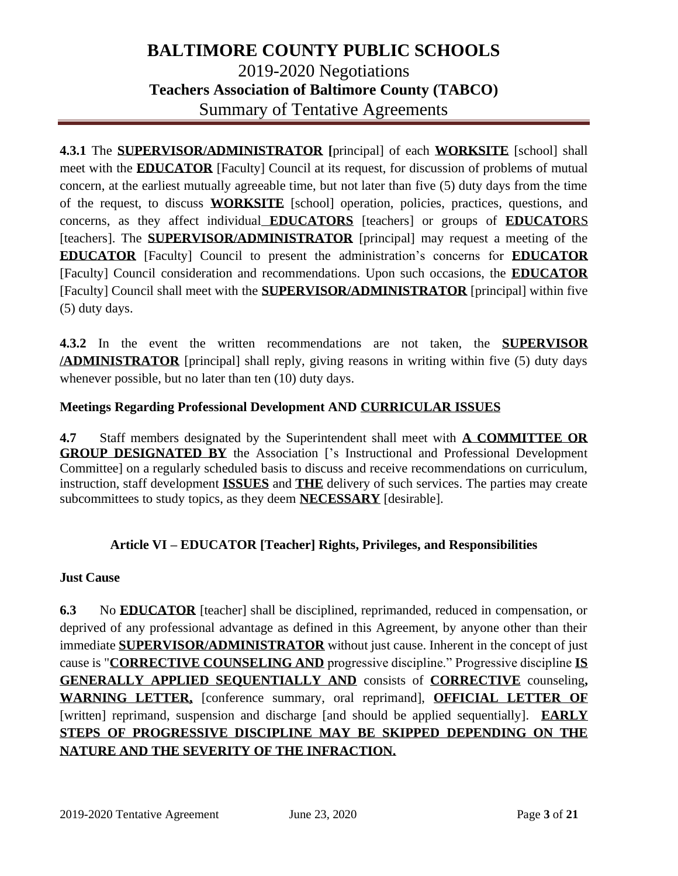**4.3.1** The **SUPERVISOR/ADMINISTRATOR [**principal] of each **WORKSITE** [school] shall meet with the **EDUCATOR** [Faculty] Council at its request, for discussion of problems of mutual concern, at the earliest mutually agreeable time, but not later than five (5) duty days from the time of the request, to discuss **WORKSITE** [school] operation, policies, practices, questions, and concerns, as they affect individual **EDUCATORS** [teachers] or groups of **EDUCATO**RS [teachers]. The **SUPERVISOR/ADMINISTRATOR** [principal] may request a meeting of the **EDUCATOR** [Faculty] Council to present the administration's concerns for **EDUCATOR** [Faculty] Council consideration and recommendations. Upon such occasions, the **EDUCATOR** [Faculty] Council shall meet with the **SUPERVISOR/ADMINISTRATOR** [principal] within five (5) duty days.

**4.3.2** In the event the written recommendations are not taken, the **SUPERVISOR /ADMINISTRATOR** [principal] shall reply, giving reasons in writing within five (5) duty days whenever possible, but no later than ten (10) duty days.

### **Meetings Regarding Professional Development AND CURRICULAR ISSUES**

**4.7** Staff members designated by the Superintendent shall meet with **A COMMITTEE OR GROUP DESIGNATED BY** the Association ['s Instructional and Professional Development Committee] on a regularly scheduled basis to discuss and receive recommendations on curriculum, instruction, staff development **ISSUES** and **THE** delivery of such services. The parties may create subcommittees to study topics, as they deem **NECESSARY** [desirable].

### **Article VI – EDUCATOR [Teacher] Rights, Privileges, and Responsibilities**

### **Just Cause**

**6.3** No **EDUCATOR** [teacher] shall be disciplined, reprimanded, reduced in compensation, or deprived of any professional advantage as defined in this Agreement, by anyone other than their immediate **SUPERVISOR/ADMINISTRATOR** without just cause. Inherent in the concept of just cause is "**CORRECTIVE COUNSELING AND** progressive discipline." Progressive discipline **IS GENERALLY APPLIED SEQUENTIALLY AND** consists of **CORRECTIVE** counseling**, WARNING LETTER,** [conference summary, oral reprimand], **OFFICIAL LETTER OF** [written] reprimand, suspension and discharge [and should be applied sequentially]. **EARLY STEPS OF PROGRESSIVE DISCIPLINE MAY BE SKIPPED DEPENDING ON THE NATURE AND THE SEVERITY OF THE INFRACTION.**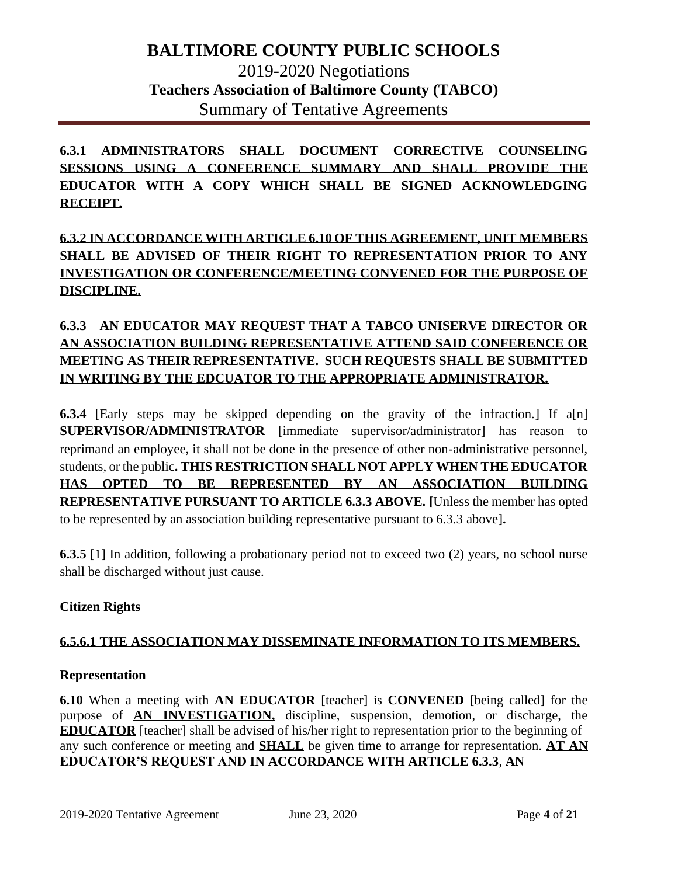**6.3.1 ADMINISTRATORS SHALL DOCUMENT CORRECTIVE COUNSELING SESSIONS USING A CONFERENCE SUMMARY AND SHALL PROVIDE THE EDUCATOR WITH A COPY WHICH SHALL BE SIGNED ACKNOWLEDGING RECEIPT.**

# **6.3.2 IN ACCORDANCE WITH ARTICLE 6.10 OF THIS AGREEMENT, UNIT MEMBERS SHALL BE ADVISED OF THEIR RIGHT TO REPRESENTATION PRIOR TO ANY INVESTIGATION OR CONFERENCE/MEETING CONVENED FOR THE PURPOSE OF DISCIPLINE.**

## **6.3.3 AN EDUCATOR MAY REQUEST THAT A TABCO UNISERVE DIRECTOR OR AN ASSOCIATION BUILDING REPRESENTATIVE ATTEND SAID CONFERENCE OR MEETING AS THEIR REPRESENTATIVE. SUCH REQUESTS SHALL BE SUBMITTED IN WRITING BY THE EDCUATOR TO THE APPROPRIATE ADMINISTRATOR.**

**6.3.4** [Early steps may be skipped depending on the gravity of the infraction.] If a[n] **SUPERVISOR/ADMINISTRATOR** [immediate supervisor/administrator] has reason to reprimand an employee, it shall not be done in the presence of other non-administrative personnel, students, or the public**. THIS RESTRICTION SHALL NOT APPLY WHEN THE EDUCATOR HAS OPTED TO BE REPRESENTED BY AN ASSOCIATION BUILDING REPRESENTATIVE PURSUANT TO ARTICLE 6.3.3 ABOVE. [**Unless the member has opted to be represented by an association building representative pursuant to 6.3.3 above]**.**

**6.3.5** [1] In addition, following a probationary period not to exceed two (2) years, no school nurse shall be discharged without just cause.

## **Citizen Rights**

### **6.5.6.1 THE ASSOCIATION MAY DISSEMINATE INFORMATION TO ITS MEMBERS.**

### **Representation**

**6.10** When a meeting with **AN EDUCATOR** [teacher] is **CONVENED** [being called] for the purpose of **AN INVESTIGATION,** discipline, suspension, demotion, or discharge, the **EDUCATOR** [teacher] shall be advised of his/her right to representation prior to the beginning of any such conference or meeting and **SHALL** be given time to arrange for representation. **AT AN EDUCATOR'S REQUEST AND IN ACCORDANCE WITH ARTICLE 6.3.3**, **AN**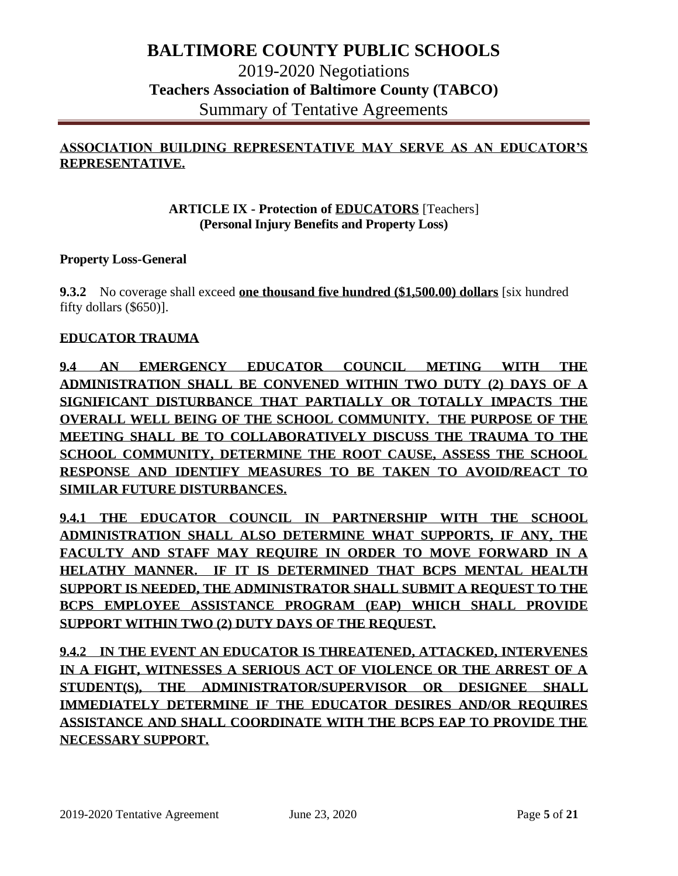## **ASSOCIATION BUILDING REPRESENTATIVE MAY SERVE AS AN EDUCATOR'S REPRESENTATIVE.**

### **ARTICLE IX - Protection of EDUCATORS** [Teachers] **(Personal Injury Benefits and Property Loss)**

#### **Property Loss-General**

**9.3.2** No coverage shall exceed **one thousand five hundred (\$1,500.00) dollars** [six hundred fifty dollars (\$650)].

#### **EDUCATOR TRAUMA**

**9.4 AN EMERGENCY EDUCATOR COUNCIL METING WITH THE ADMINISTRATION SHALL BE CONVENED WITHIN TWO DUTY (2) DAYS OF A SIGNIFICANT DISTURBANCE THAT PARTIALLY OR TOTALLY IMPACTS THE OVERALL WELL BEING OF THE SCHOOL COMMUNITY. THE PURPOSE OF THE MEETING SHALL BE TO COLLABORATIVELY DISCUSS THE TRAUMA TO THE SCHOOL COMMUNITY, DETERMINE THE ROOT CAUSE, ASSESS THE SCHOOL RESPONSE AND IDENTIFY MEASURES TO BE TAKEN TO AVOID/REACT TO SIMILAR FUTURE DISTURBANCES.** 

**9.4.1 THE EDUCATOR COUNCIL IN PARTNERSHIP WITH THE SCHOOL ADMINISTRATION SHALL ALSO DETERMINE WHAT SUPPORTS, IF ANY, THE FACULTY AND STAFF MAY REQUIRE IN ORDER TO MOVE FORWARD IN A HELATHY MANNER. IF IT IS DETERMINED THAT BCPS MENTAL HEALTH SUPPORT IS NEEDED, THE ADMINISTRATOR SHALL SUBMIT A REQUEST TO THE BCPS EMPLOYEE ASSISTANCE PROGRAM (EAP) WHICH SHALL PROVIDE SUPPORT WITHIN TWO (2) DUTY DAYS OF THE REQUEST.**

**9.4.2 IN THE EVENT AN EDUCATOR IS THREATENED, ATTACKED, INTERVENES IN A FIGHT, WITNESSES A SERIOUS ACT OF VIOLENCE OR THE ARREST OF A STUDENT(S), THE ADMINISTRATOR/SUPERVISOR OR DESIGNEE SHALL IMMEDIATELY DETERMINE IF THE EDUCATOR DESIRES AND/OR REQUIRES ASSISTANCE AND SHALL COORDINATE WITH THE BCPS EAP TO PROVIDE THE NECESSARY SUPPORT.**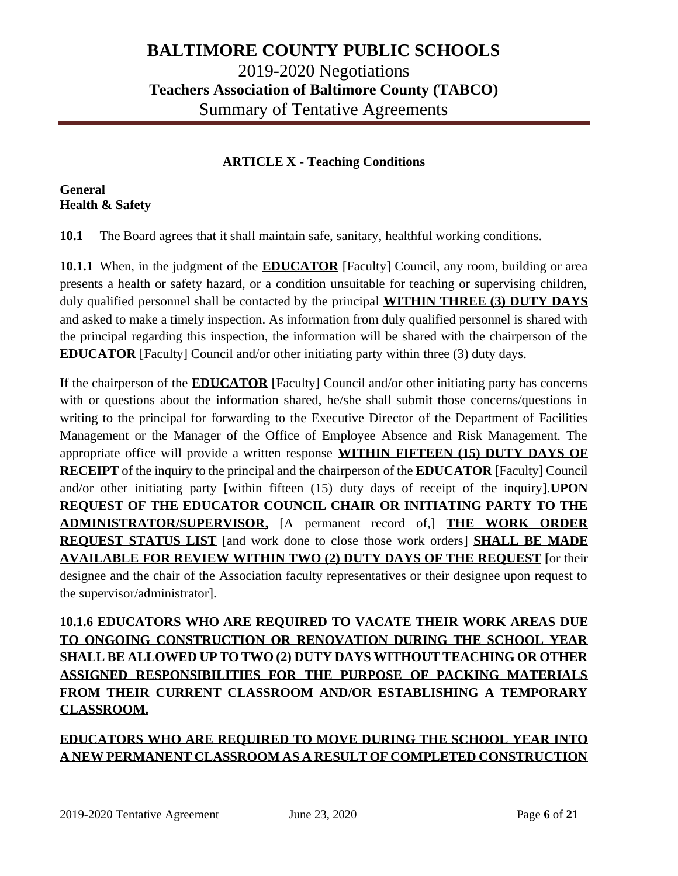## **ARTICLE X - Teaching Conditions**

### **General Health & Safety**

**10.1** The Board agrees that it shall maintain safe, sanitary, healthful working conditions.

**10.1.1** When, in the judgment of the **EDUCATOR** [Faculty] Council, any room, building or area presents a health or safety hazard, or a condition unsuitable for teaching or supervising children, duly qualified personnel shall be contacted by the principal **WITHIN THREE (3) DUTY DAYS** and asked to make a timely inspection. As information from duly qualified personnel is shared with the principal regarding this inspection, the information will be shared with the chairperson of the **EDUCATOR** [Faculty] Council and/or other initiating party within three (3) duty days.

If the chairperson of the **EDUCATOR** [Faculty] Council and/or other initiating party has concerns with or questions about the information shared, he/she shall submit those concerns/questions in writing to the principal for forwarding to the Executive Director of the Department of Facilities Management or the Manager of the Office of Employee Absence and Risk Management. The appropriate office will provide a written response **WITHIN FIFTEEN (15) DUTY DAYS OF RECEIPT** of the inquiry to the principal and the chairperson of the **EDUCATOR** [Faculty] Council and/or other initiating party [within fifteen (15) duty days of receipt of the inquiry].**UPON REQUEST OF THE EDUCATOR COUNCIL CHAIR OR INITIATING PARTY TO THE ADMINISTRATOR/SUPERVISOR,** [A permanent record of,] **THE WORK ORDER REQUEST STATUS LIST** [and work done to close those work orders] **SHALL BE MADE AVAILABLE FOR REVIEW WITHIN TWO (2) DUTY DAYS OF THE REQUEST [**or their designee and the chair of the Association faculty representatives or their designee upon request to the supervisor/administrator].

**10.1.6 EDUCATORS WHO ARE REQUIRED TO VACATE THEIR WORK AREAS DUE TO ONGOING CONSTRUCTION OR RENOVATION DURING THE SCHOOL YEAR SHALL BE ALLOWED UP TO TWO (2) DUTY DAYS WITHOUT TEACHING OR OTHER ASSIGNED RESPONSIBILITIES FOR THE PURPOSE OF PACKING MATERIALS FROM THEIR CURRENT CLASSROOM AND/OR ESTABLISHING A TEMPORARY CLASSROOM.** 

**EDUCATORS WHO ARE REQUIRED TO MOVE DURING THE SCHOOL YEAR INTO A NEW PERMANENT CLASSROOM AS A RESULT OF COMPLETED CONSTRUCTION**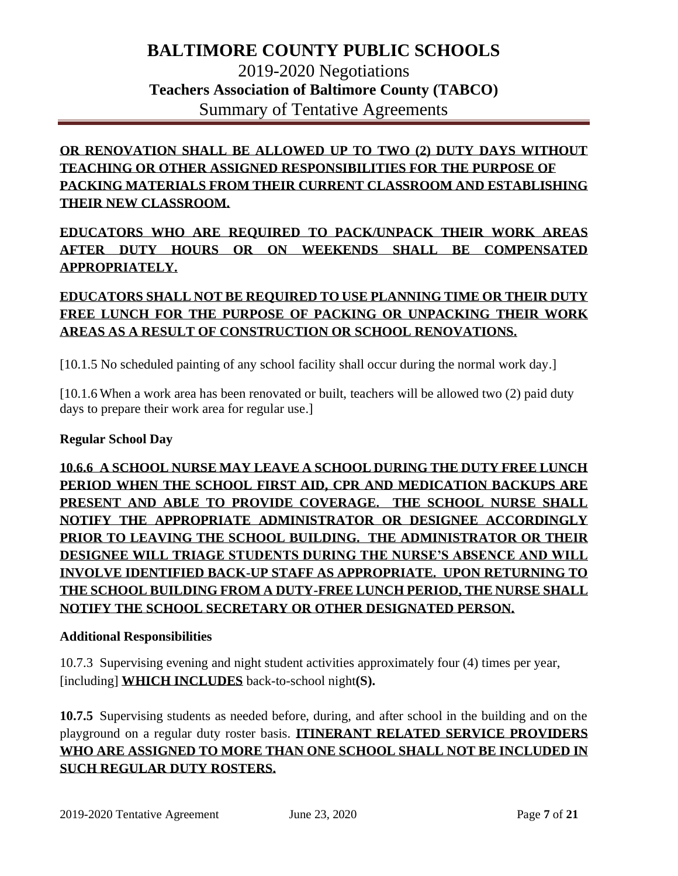# **OR RENOVATION SHALL BE ALLOWED UP TO TWO (2) DUTY DAYS WITHOUT TEACHING OR OTHER ASSIGNED RESPONSIBILITIES FOR THE PURPOSE OF PACKING MATERIALS FROM THEIR CURRENT CLASSROOM AND ESTABLISHING THEIR NEW CLASSROOM.**

**EDUCATORS WHO ARE REQUIRED TO PACK/UNPACK THEIR WORK AREAS AFTER DUTY HOURS OR ON WEEKENDS SHALL BE COMPENSATED APPROPRIATELY.** 

# **EDUCATORS SHALL NOT BE REQUIRED TO USE PLANNING TIME OR THEIR DUTY FREE LUNCH FOR THE PURPOSE OF PACKING OR UNPACKING THEIR WORK AREAS AS A RESULT OF CONSTRUCTION OR SCHOOL RENOVATIONS.**

[10.1.5 No scheduled painting of any school facility shall occur during the normal work day.]

[10.1.6 When a work area has been renovated or built, teachers will be allowed two (2) paid duty days to prepare their work area for regular use.]

## **Regular School Day**

**10.6.6 A SCHOOL NURSE MAY LEAVE A SCHOOL DURING THE DUTY FREE LUNCH PERIOD WHEN THE SCHOOL FIRST AID, CPR AND MEDICATION BACKUPS ARE PRESENT AND ABLE TO PROVIDE COVERAGE. THE SCHOOL NURSE SHALL NOTIFY THE APPROPRIATE ADMINISTRATOR OR DESIGNEE ACCORDINGLY PRIOR TO LEAVING THE SCHOOL BUILDING. THE ADMINISTRATOR OR THEIR DESIGNEE WILL TRIAGE STUDENTS DURING THE NURSE'S ABSENCE AND WILL INVOLVE IDENTIFIED BACK-UP STAFF AS APPROPRIATE. UPON RETURNING TO THE SCHOOL BUILDING FROM A DUTY-FREE LUNCH PERIOD, THE NURSE SHALL NOTIFY THE SCHOOL SECRETARY OR OTHER DESIGNATED PERSON.**

### **Additional Responsibilities**

10.7.3 Supervising evening and night student activities approximately four (4) times per year, [including] **WHICH INCLUDES** back-to-school night**(S).**

**10.7.5** Supervising students as needed before, during, and after school in the building and on the playground on a regular duty roster basis. **ITINERANT RELATED SERVICE PROVIDERS WHO ARE ASSIGNED TO MORE THAN ONE SCHOOL SHALL NOT BE INCLUDED IN SUCH REGULAR DUTY ROSTERS.**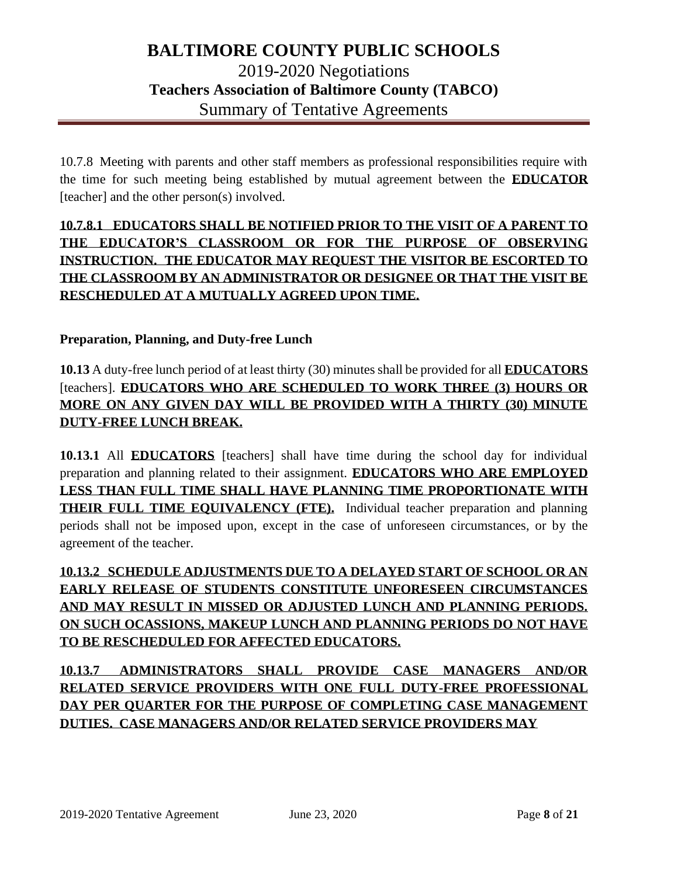10.7.8 Meeting with parents and other staff members as professional responsibilities require with the time for such meeting being established by mutual agreement between the **EDUCATOR** [teacher] and the other person(s) involved.

# **10.7.8.1 EDUCATORS SHALL BE NOTIFIED PRIOR TO THE VISIT OF A PARENT TO THE EDUCATOR'S CLASSROOM OR FOR THE PURPOSE OF OBSERVING INSTRUCTION. THE EDUCATOR MAY REQUEST THE VISITOR BE ESCORTED TO THE CLASSROOM BY AN ADMINISTRATOR OR DESIGNEE OR THAT THE VISIT BE RESCHEDULED AT A MUTUALLY AGREED UPON TIME.**

### **Preparation, Planning, and Duty-free Lunch**

**10.13** A duty-free lunch period of at least thirty (30) minutes shall be provided for all **EDUCATORS** [teachers]. **EDUCATORS WHO ARE SCHEDULED TO WORK THREE (3) HOURS OR MORE ON ANY GIVEN DAY WILL BE PROVIDED WITH A THIRTY (30) MINUTE DUTY-FREE LUNCH BREAK.** 

**10.13.1** All **EDUCATORS** [teachers] shall have time during the school day for individual preparation and planning related to their assignment. **EDUCATORS WHO ARE EMPLOYED LESS THAN FULL TIME SHALL HAVE PLANNING TIME PROPORTIONATE WITH THEIR FULL TIME EQUIVALENCY (FTE).** Individual teacher preparation and planning periods shall not be imposed upon, except in the case of unforeseen circumstances, or by the agreement of the teacher.

**10.13.2 SCHEDULE ADJUSTMENTS DUE TO A DELAYED START OF SCHOOL OR AN EARLY RELEASE OF STUDENTS CONSTITUTE UNFORESEEN CIRCUMSTANCES AND MAY RESULT IN MISSED OR ADJUSTED LUNCH AND PLANNING PERIODS. ON SUCH OCASSIONS, MAKEUP LUNCH AND PLANNING PERIODS DO NOT HAVE TO BE RESCHEDULED FOR AFFECTED EDUCATORS.** 

**10.13.7 ADMINISTRATORS SHALL PROVIDE CASE MANAGERS AND/OR RELATED SERVICE PROVIDERS WITH ONE FULL DUTY-FREE PROFESSIONAL DAY PER QUARTER FOR THE PURPOSE OF COMPLETING CASE MANAGEMENT DUTIES. CASE MANAGERS AND/OR RELATED SERVICE PROVIDERS MAY**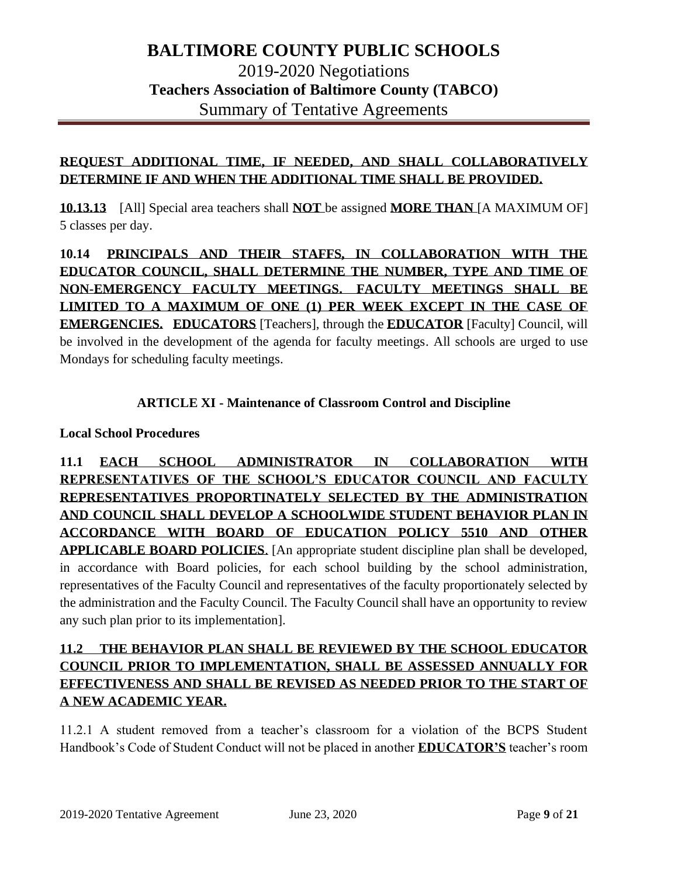## **REQUEST ADDITIONAL TIME, IF NEEDED, AND SHALL COLLABORATIVELY DETERMINE IF AND WHEN THE ADDITIONAL TIME SHALL BE PROVIDED.**

**10.13.13** [All] Special area teachers shall **NOT** be assigned **MORE THAN** [A MAXIMUM OF] 5 classes per day.

**10.14 PRINCIPALS AND THEIR STAFFS, IN COLLABORATION WITH THE EDUCATOR COUNCIL, SHALL DETERMINE THE NUMBER, TYPE AND TIME OF NON-EMERGENCY FACULTY MEETINGS. FACULTY MEETINGS SHALL BE LIMITED TO A MAXIMUM OF ONE (1) PER WEEK EXCEPT IN THE CASE OF EMERGENCIES. EDUCATORS** [Teachers], through the **EDUCATOR** [Faculty] Council, will be involved in the development of the agenda for faculty meetings. All schools are urged to use Mondays for scheduling faculty meetings.

## **ARTICLE XI - Maintenance of Classroom Control and Discipline**

### **Local School Procedures**

**11.1 EACH SCHOOL ADMINISTRATOR IN COLLABORATION WITH REPRESENTATIVES OF THE SCHOOL'S EDUCATOR COUNCIL AND FACULTY REPRESENTATIVES PROPORTINATELY SELECTED BY THE ADMINISTRATION AND COUNCIL SHALL DEVELOP A SCHOOLWIDE STUDENT BEHAVIOR PLAN IN ACCORDANCE WITH BOARD OF EDUCATION POLICY 5510 AND OTHER APPLICABLE BOARD POLICIES**. [An appropriate student discipline plan shall be developed, in accordance with Board policies, for each school building by the school administration, representatives of the Faculty Council and representatives of the faculty proportionately selected by the administration and the Faculty Council. The Faculty Council shall have an opportunity to review any such plan prior to its implementation].

## **11.2 THE BEHAVIOR PLAN SHALL BE REVIEWED BY THE SCHOOL EDUCATOR COUNCIL PRIOR TO IMPLEMENTATION, SHALL BE ASSESSED ANNUALLY FOR EFFECTIVENESS AND SHALL BE REVISED AS NEEDED PRIOR TO THE START OF A NEW ACADEMIC YEAR.**

11.2.1 A student removed from a teacher's classroom for a violation of the BCPS Student Handbook's Code of Student Conduct will not be placed in another **EDUCATOR'S** teacher's room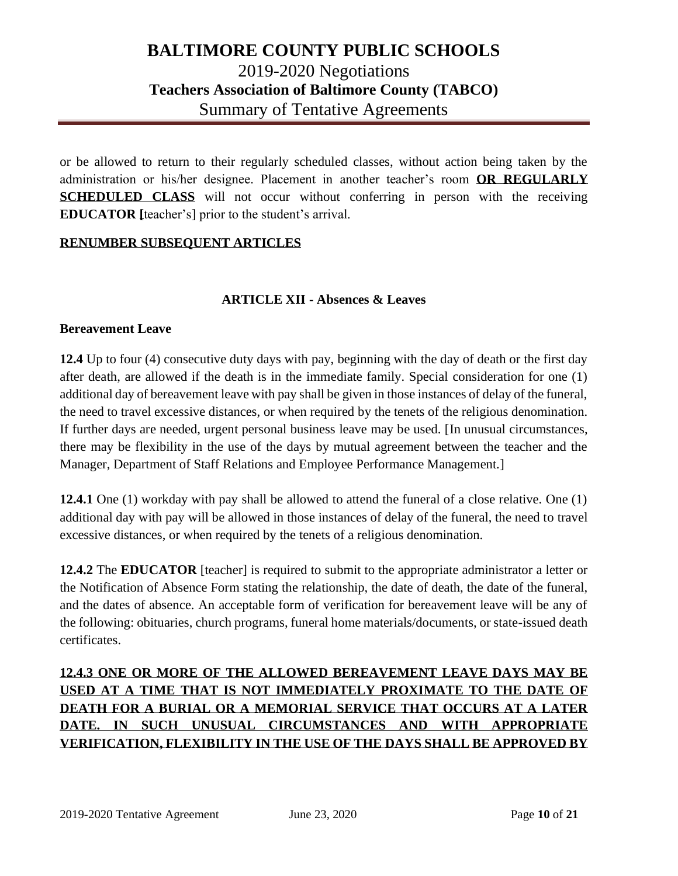or be allowed to return to their regularly scheduled classes, without action being taken by the administration or his/her designee. Placement in another teacher's room **OR REGULARLY SCHEDULED CLASS** will not occur without conferring in person with the receiving **EDUCATOR [**teacher's] prior to the student's arrival.

#### **RENUMBER SUBSEQUENT ARTICLES**

#### **ARTICLE XII - Absences & Leaves**

#### **Bereavement Leave**

**12.4** Up to four (4) consecutive duty days with pay, beginning with the day of death or the first day after death, are allowed if the death is in the immediate family. Special consideration for one (1) additional day of bereavement leave with pay shall be given in those instances of delay of the funeral, the need to travel excessive distances, or when required by the tenets of the religious denomination. If further days are needed, urgent personal business leave may be used. [In unusual circumstances, there may be flexibility in the use of the days by mutual agreement between the teacher and the Manager, Department of Staff Relations and Employee Performance Management.]

**12.4.1** One (1) workday with pay shall be allowed to attend the funeral of a close relative. One (1) additional day with pay will be allowed in those instances of delay of the funeral, the need to travel excessive distances, or when required by the tenets of a religious denomination.

**12.4.2** The **EDUCATOR** [teacher] is required to submit to the appropriate administrator a letter or the Notification of Absence Form stating the relationship, the date of death, the date of the funeral, and the dates of absence. An acceptable form of verification for bereavement leave will be any of the following: obituaries, church programs, funeral home materials/documents, or state-issued death certificates.

# **12.4.3 ONE OR MORE OF THE ALLOWED BEREAVEMENT LEAVE DAYS MAY BE USED AT A TIME THAT IS NOT IMMEDIATELY PROXIMATE TO THE DATE OF DEATH FOR A BURIAL OR A MEMORIAL SERVICE THAT OCCURS AT A LATER DATE. IN SUCH UNUSUAL CIRCUMSTANCES AND WITH APPROPRIATE VERIFICATION, FLEXIBILITY IN THE USE OF THE DAYS SHALL BE APPROVED BY**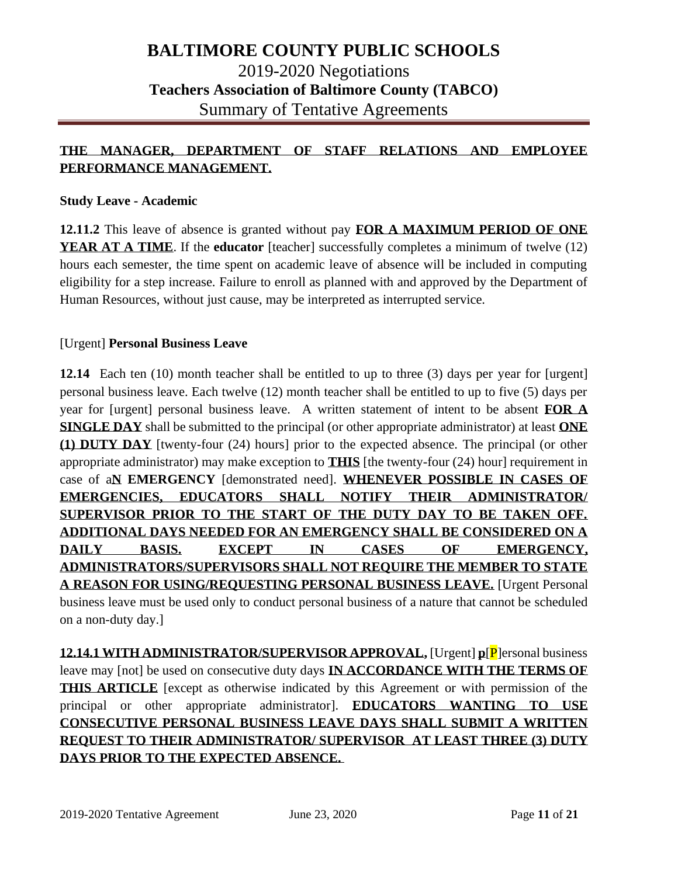## **THE MANAGER, DEPARTMENT OF STAFF RELATIONS AND EMPLOYEE PERFORMANCE MANAGEMENT.**

#### **Study Leave - Academic**

**12.11.2** This leave of absence is granted without pay **FOR A MAXIMUM PERIOD OF ONE YEAR AT A TIME**. If the **educator** [teacher] successfully completes a minimum of twelve (12) hours each semester, the time spent on academic leave of absence will be included in computing eligibility for a step increase. Failure to enroll as planned with and approved by the Department of Human Resources, without just cause, may be interpreted as interrupted service.

#### [Urgent] **Personal Business Leave**

**12.14** Each ten (10) month teacher shall be entitled to up to three (3) days per year for [urgent] personal business leave. Each twelve (12) month teacher shall be entitled to up to five (5) days per year for [urgent] personal business leave. A written statement of intent to be absent **FOR A SINGLE DAY** shall be submitted to the principal (or other appropriate administrator) at least **ONE (1) DUTY DAY** [twenty-four (24) hours] prior to the expected absence. The principal (or other appropriate administrator) may make exception to **THIS** [the twenty-four (24) hour] requirement in case of a**N EMERGENCY** [demonstrated need]. **WHENEVER POSSIBLE IN CASES OF EMERGENCIES, EDUCATORS SHALL NOTIFY THEIR ADMINISTRATOR/ SUPERVISOR PRIOR TO THE START OF THE DUTY DAY TO BE TAKEN OFF. ADDITIONAL DAYS NEEDED FOR AN EMERGENCY SHALL BE CONSIDERED ON A DAILY BASIS. EXCEPT IN CASES OF EMERGENCY, ADMINISTRATORS/SUPERVISORS SHALL NOT REQUIRE THE MEMBER TO STATE A REASON FOR USING/REQUESTING PERSONAL BUSINESS LEAVE.** [Urgent Personal business leave must be used only to conduct personal business of a nature that cannot be scheduled on a non-duty day.]

**12.14.1 WITH ADMINISTRATOR/SUPERVISOR APPROVAL,** [Urgent] **p**[P]ersonal business leave may [not] be used on consecutive duty days **IN ACCORDANCE WITH THE TERMS OF THIS ARTICLE** [except as otherwise indicated by this Agreement or with permission of the principal or other appropriate administrator]. **EDUCATORS WANTING TO USE CONSECUTIVE PERSONAL BUSINESS LEAVE DAYS SHALL SUBMIT A WRITTEN REQUEST TO THEIR ADMINISTRATOR/ SUPERVISOR AT LEAST THREE (3) DUTY DAYS PRIOR TO THE EXPECTED ABSENCE.**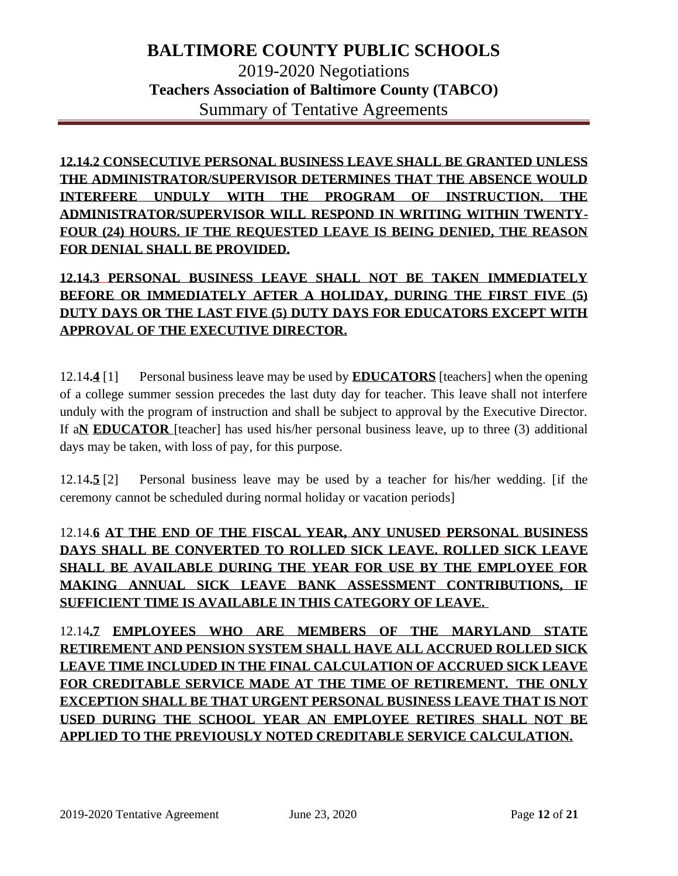**12.14.2 CONSECUTIVE PERSONAL BUSINESS LEAVE SHALL BE GRANTED UNLESS THE ADMINISTRATOR/SUPERVISOR DETERMINES THAT THE ABSENCE WOULD INTERFERE UNDULY WITH THE PROGRAM OF INSTRUCTION. THE ADMINISTRATOR/SUPERVISOR WILL RESPOND IN WRITING WITHIN TWENTY-FOUR (24) HOURS. IF THE REQUESTED LEAVE IS BEING DENIED, THE REASON FOR DENIAL SHALL BE PROVIDED.**

## **12.14.3 PERSONAL BUSINESS LEAVE SHALL NOT BE TAKEN IMMEDIATELY BEFORE OR IMMEDIATELY AFTER A HOLIDAY, DURING THE FIRST FIVE (5) DUTY DAYS OR THE LAST FIVE (5) DUTY DAYS FOR EDUCATORS EXCEPT WITH APPROVAL OF THE EXECUTIVE DIRECTOR.**

12.14**.4** [1] Personal business leave may be used by **EDUCATORS** [teachers] when the opening of a college summer session precedes the last duty day for teacher. This leave shall not interfere unduly with the program of instruction and shall be subject to approval by the Executive Director. If a**N EDUCATOR** [teacher] has used his/her personal business leave, up to three (3) additional days may be taken, with loss of pay, for this purpose.

12.14**.5** [2] Personal business leave may be used by a teacher for his/her wedding. [if the ceremony cannot be scheduled during normal holiday or vacation periods]

# 12.14.**6 AT THE END OF THE FISCAL YEAR, ANY UNUSED PERSONAL BUSINESS DAYS SHALL BE CONVERTED TO ROLLED SICK LEAVE. ROLLED SICK LEAVE SHALL BE AVAILABLE DURING THE YEAR FOR USE BY THE EMPLOYEE FOR MAKING ANNUAL SICK LEAVE BANK ASSESSMENT CONTRIBUTIONS, IF SUFFICIENT TIME IS AVAILABLE IN THIS CATEGORY OF LEAVE.**

12.14**.7 EMPLOYEES WHO ARE MEMBERS OF THE MARYLAND STATE RETIREMENT AND PENSION SYSTEM SHALL HAVE ALL ACCRUED ROLLED SICK LEAVE TIME INCLUDED IN THE FINAL CALCULATION OF ACCRUED SICK LEAVE FOR CREDITABLE SERVICE MADE AT THE TIME OF RETIREMENT. THE ONLY EXCEPTION SHALL BE THAT URGENT PERSONAL BUSINESS LEAVE THAT IS NOT USED DURING THE SCHOOL YEAR AN EMPLOYEE RETIRES SHALL NOT BE APPLIED TO THE PREVIOUSLY NOTED CREDITABLE SERVICE CALCULATION.**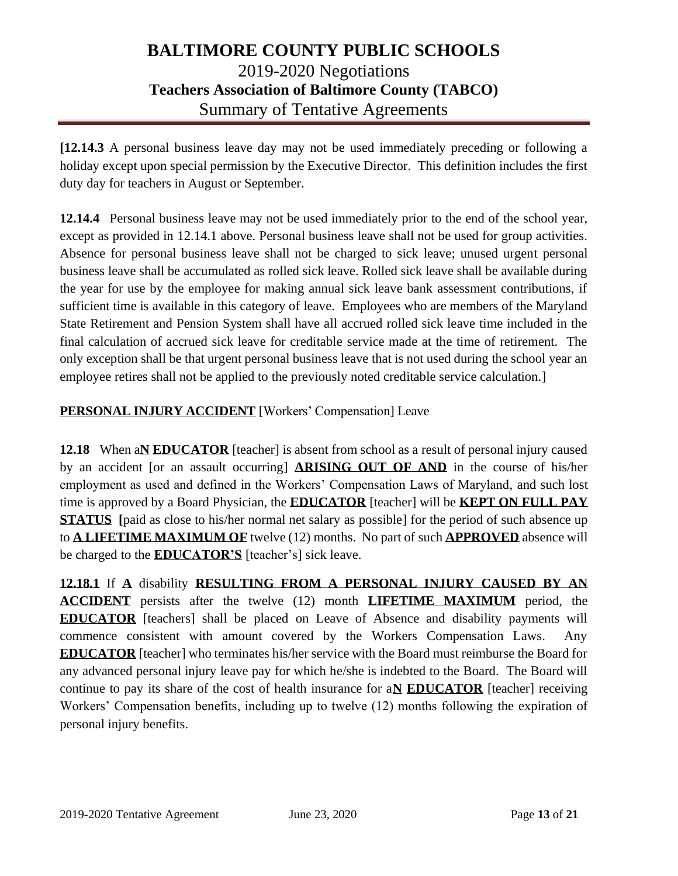**[12.14.3** A personal business leave day may not be used immediately preceding or following a holiday except upon special permission by the Executive Director. This definition includes the first duty day for teachers in August or September.

**12.14.4** Personal business leave may not be used immediately prior to the end of the school year, except as provided in 12.14.1 above. Personal business leave shall not be used for group activities. Absence for personal business leave shall not be charged to sick leave; unused urgent personal business leave shall be accumulated as rolled sick leave. Rolled sick leave shall be available during the year for use by the employee for making annual sick leave bank assessment contributions, if sufficient time is available in this category of leave. Employees who are members of the Maryland State Retirement and Pension System shall have all accrued rolled sick leave time included in the final calculation of accrued sick leave for creditable service made at the time of retirement. The only exception shall be that urgent personal business leave that is not used during the school year an employee retires shall not be applied to the previously noted creditable service calculation.]

## **PERSONAL INJURY ACCIDENT** [Workers' Compensation] Leave

**12.18** When a**N EDUCATOR** [teacher] is absent from school as a result of personal injury caused by an accident [or an assault occurring] **ARISING OUT OF AND** in the course of his/her employment as used and defined in the Workers' Compensation Laws of Maryland, and such lost time is approved by a Board Physician, the **EDUCATOR** [teacher] will be **KEPT ON FULL PAY STATUS** [paid as close to his/her normal net salary as possible] for the period of such absence up to **A LIFETIME MAXIMUM OF** twelve (12) months. No part of such **APPROVED** absence will be charged to the **EDUCATOR'S** [teacher's] sick leave.

**12.18.1** If **A** disability **RESULTING FROM A PERSONAL INJURY CAUSED BY AN ACCIDENT** persists after the twelve (12) month **LIFETIME MAXIMUM** period, the **EDUCATOR** [teachers] shall be placed on Leave of Absence and disability payments will commence consistent with amount covered by the Workers Compensation Laws. Any **EDUCATOR** [teacher] who terminates his/her service with the Board must reimburse the Board for any advanced personal injury leave pay for which he/she is indebted to the Board. The Board will continue to pay its share of the cost of health insurance for a**N EDUCATOR** [teacher] receiving Workers' Compensation benefits, including up to twelve (12) months following the expiration of personal injury benefits.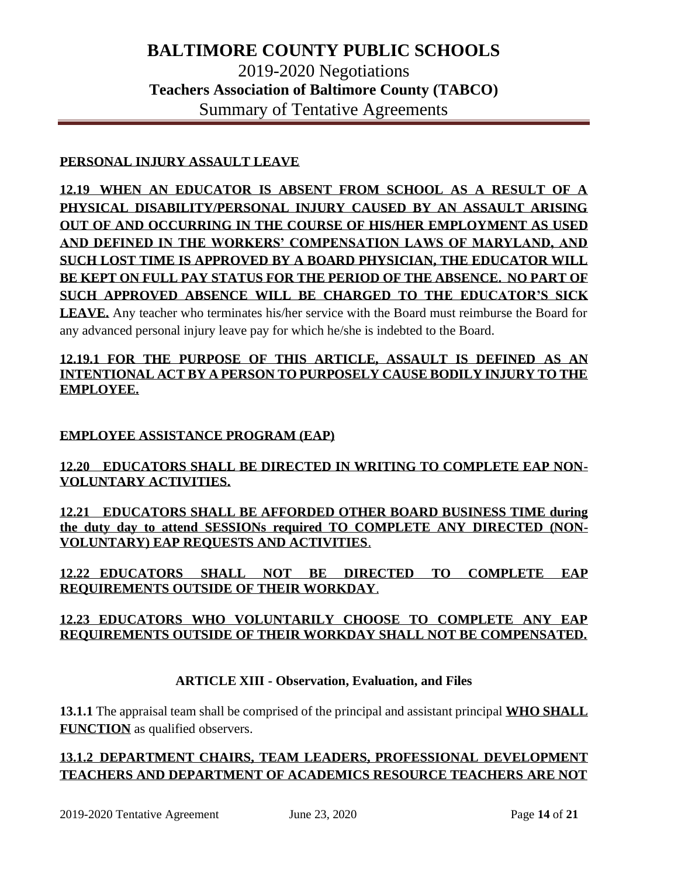### **PERSONAL INJURY ASSAULT LEAVE**

**12.19 WHEN AN EDUCATOR IS ABSENT FROM SCHOOL AS A RESULT OF A PHYSICAL DISABILITY/PERSONAL INJURY CAUSED BY AN ASSAULT ARISING OUT OF AND OCCURRING IN THE COURSE OF HIS/HER EMPLOYMENT AS USED AND DEFINED IN THE WORKERS' COMPENSATION LAWS OF MARYLAND, AND SUCH LOST TIME IS APPROVED BY A BOARD PHYSICIAN, THE EDUCATOR WILL BE KEPT ON FULL PAY STATUS FOR THE PERIOD OF THE ABSENCE. NO PART OF SUCH APPROVED ABSENCE WILL BE CHARGED TO THE EDUCATOR'S SICK LEAVE.** Any teacher who terminates his/her service with the Board must reimburse the Board for any advanced personal injury leave pay for which he/she is indebted to the Board.

### **12.19.1 FOR THE PURPOSE OF THIS ARTICLE, ASSAULT IS DEFINED AS AN INTENTIONAL ACT BY A PERSON TO PURPOSELY CAUSE BODILY INJURY TO THE EMPLOYEE.**

#### **EMPLOYEE ASSISTANCE PROGRAM (EAP)**

### **12.20 EDUCATORS SHALL BE DIRECTED IN WRITING TO COMPLETE EAP NON-VOLUNTARY ACTIVITIES.**

**12.21 EDUCATORS SHALL BE AFFORDED OTHER BOARD BUSINESS TIME during the duty day to attend SESSIONs required TO COMPLETE ANY DIRECTED (NON-VOLUNTARY) EAP REQUESTS AND ACTIVITIES**.

**12.22 EDUCATORS SHALL NOT BE DIRECTED TO COMPLETE EAP REQUIREMENTS OUTSIDE OF THEIR WORKDAY**.

### **12.23 EDUCATORS WHO VOLUNTARILY CHOOSE TO COMPLETE ANY EAP REQUIREMENTS OUTSIDE OF THEIR WORKDAY SHALL NOT BE COMPENSATED.**

### **ARTICLE XIII - Observation, Evaluation, and Files**

**13.1.1** The appraisal team shall be comprised of the principal and assistant principal **WHO SHALL FUNCTION** as qualified observers.

## **13.1.2 DEPARTMENT CHAIRS, TEAM LEADERS, PROFESSIONAL DEVELOPMENT TEACHERS AND DEPARTMENT OF ACADEMICS RESOURCE TEACHERS ARE NOT**

2019-2020 Tentative Agreement June 23, 2020 Page **14** of **21**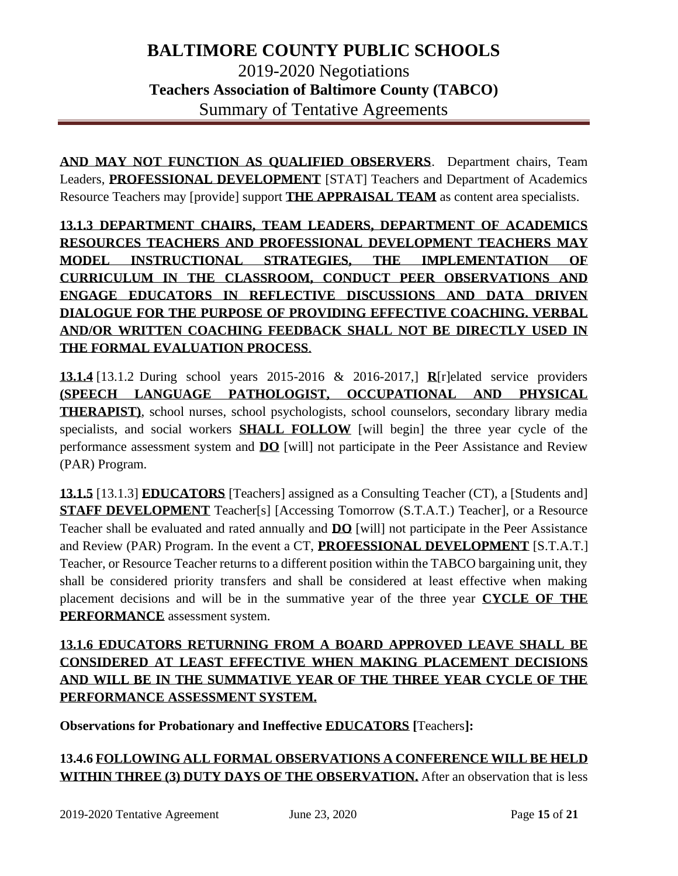**AND MAY NOT FUNCTION AS QUALIFIED OBSERVERS**. Department chairs, Team Leaders, **PROFESSIONAL DEVELOPMENT** [STAT] Teachers and Department of Academics Resource Teachers may [provide] support **THE APPRAISAL TEAM** as content area specialists.

**13.1.3 DEPARTMENT CHAIRS, TEAM LEADERS, DEPARTMENT OF ACADEMICS RESOURCES TEACHERS AND PROFESSIONAL DEVELOPMENT TEACHERS MAY MODEL INSTRUCTIONAL STRATEGIES, THE IMPLEMENTATION OF CURRICULUM IN THE CLASSROOM, CONDUCT PEER OBSERVATIONS AND ENGAGE EDUCATORS IN REFLECTIVE DISCUSSIONS AND DATA DRIVEN DIALOGUE FOR THE PURPOSE OF PROVIDING EFFECTIVE COACHING. VERBAL AND/OR WRITTEN COACHING FEEDBACK SHALL NOT BE DIRECTLY USED IN THE FORMAL EVALUATION PROCESS**.

**13.1.4** [13.1.2 During school years 2015-2016 & 2016-2017,] **R**[r]elated service providers **(SPEECH LANGUAGE PATHOLOGIST, OCCUPATIONAL AND PHYSICAL THERAPIST)**, school nurses, school psychologists, school counselors, secondary library media specialists, and social workers **SHALL FOLLOW** [will begin] the three year cycle of the performance assessment system and **DO** [will] not participate in the Peer Assistance and Review (PAR) Program.

**13.1.5** [13.1.3] **EDUCATORS** [Teachers] assigned as a Consulting Teacher (CT), a [Students and] **STAFF DEVELOPMENT** Teacher[s] [Accessing Tomorrow (S.T.A.T.) Teacher], or a Resource Teacher shall be evaluated and rated annually and **DO** [will] not participate in the Peer Assistance and Review (PAR) Program. In the event a CT, **PROFESSIONAL DEVELOPMENT** [S.T.A.T.] Teacher, or Resource Teacher returns to a different position within the TABCO bargaining unit, they shall be considered priority transfers and shall be considered at least effective when making placement decisions and will be in the summative year of the three year **CYCLE OF THE PERFORMANCE** assessment system.

**13.1.6 EDUCATORS RETURNING FROM A BOARD APPROVED LEAVE SHALL BE CONSIDERED AT LEAST EFFECTIVE WHEN MAKING PLACEMENT DECISIONS AND WILL BE IN THE SUMMATIVE YEAR OF THE THREE YEAR CYCLE OF THE PERFORMANCE ASSESSMENT SYSTEM.**

**Observations for Probationary and Ineffective EDUCATORS [**Teachers**]:**

**13.4.6 FOLLOWING ALL FORMAL OBSERVATIONS A CONFERENCE WILL BE HELD WITHIN THREE (3) DUTY DAYS OF THE OBSERVATION.** After an observation that is less

2019-2020 Tentative Agreement June 23, 2020 Page **15** of **21**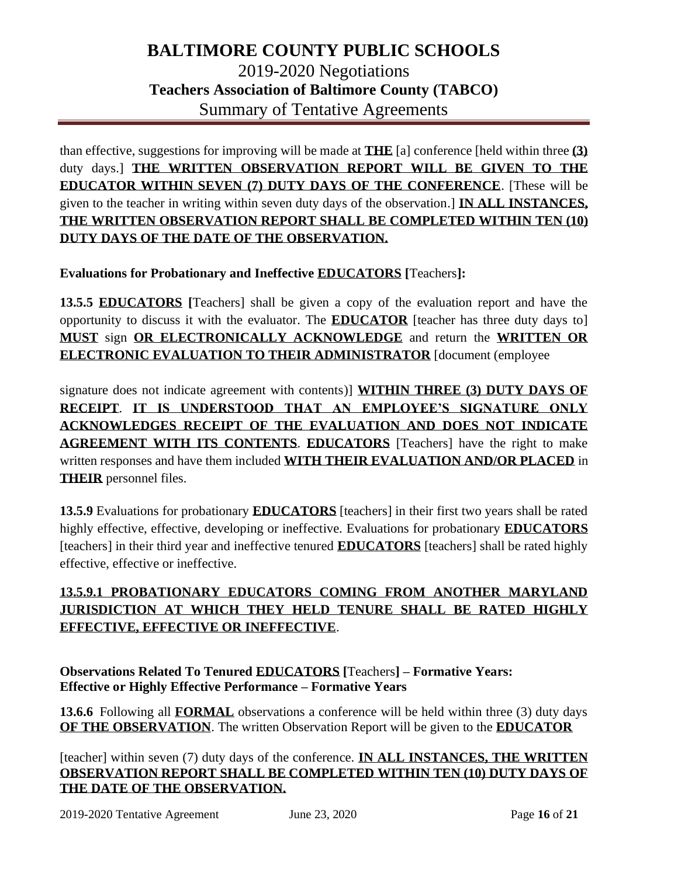than effective, suggestions for improving will be made at **THE** [a] conference [held within three **(3)** duty days.] **THE WRITTEN OBSERVATION REPORT WILL BE GIVEN TO THE EDUCATOR WITHIN SEVEN (7) DUTY DAYS OF THE CONFERENCE**. [These will be given to the teacher in writing within seven duty days of the observation.] **IN ALL INSTANCES, THE WRITTEN OBSERVATION REPORT SHALL BE COMPLETED WITHIN TEN (10) DUTY DAYS OF THE DATE OF THE OBSERVATION.**

**Evaluations for Probationary and Ineffective EDUCATORS [**Teachers**]:**

**13.5.5 EDUCATORS [**Teachers] shall be given a copy of the evaluation report and have the opportunity to discuss it with the evaluator. The **EDUCATOR** [teacher has three duty days to] **MUST** sign **OR ELECTRONICALLY ACKNOWLEDGE** and return the **WRITTEN OR ELECTRONIC EVALUATION TO THEIR ADMINISTRATOR** [document (employee

signature does not indicate agreement with contents)] **WITHIN THREE (3) DUTY DAYS OF RECEIPT**. **IT IS UNDERSTOOD THAT AN EMPLOYEE'S SIGNATURE ONLY ACKNOWLEDGES RECEIPT OF THE EVALUATION AND DOES NOT INDICATE AGREEMENT WITH ITS CONTENTS**. **EDUCATORS** [Teachers] have the right to make written responses and have them included **WITH THEIR EVALUATION AND/OR PLACED** in **THEIR** personnel files.

**13.5.9** Evaluations for probationary **EDUCATORS** [teachers] in their first two years shall be rated highly effective, effective, developing or ineffective. Evaluations for probationary **EDUCATORS** [teachers] in their third year and ineffective tenured **EDUCATORS** [teachers] shall be rated highly effective, effective or ineffective.

## **13.5.9.1 PROBATIONARY EDUCATORS COMING FROM ANOTHER MARYLAND JURISDICTION AT WHICH THEY HELD TENURE SHALL BE RATED HIGHLY EFFECTIVE, EFFECTIVE OR INEFFECTIVE**.

**Observations Related To Tenured EDUCATORS [**Teachers**] – Formative Years: Effective or Highly Effective Performance – Formative Years**

**13.6.6** Following all **FORMAL** observations a conference will be held within three (3) duty days **OF THE OBSERVATION**. The written Observation Report will be given to the **EDUCATOR**

[teacher] within seven (7) duty days of the conference. **IN ALL INSTANCES, THE WRITTEN OBSERVATION REPORT SHALL BE COMPLETED WITHIN TEN (10) DUTY DAYS OF THE DATE OF THE OBSERVATION.**

2019-2020 Tentative Agreement June 23, 2020 Page **16** of **21**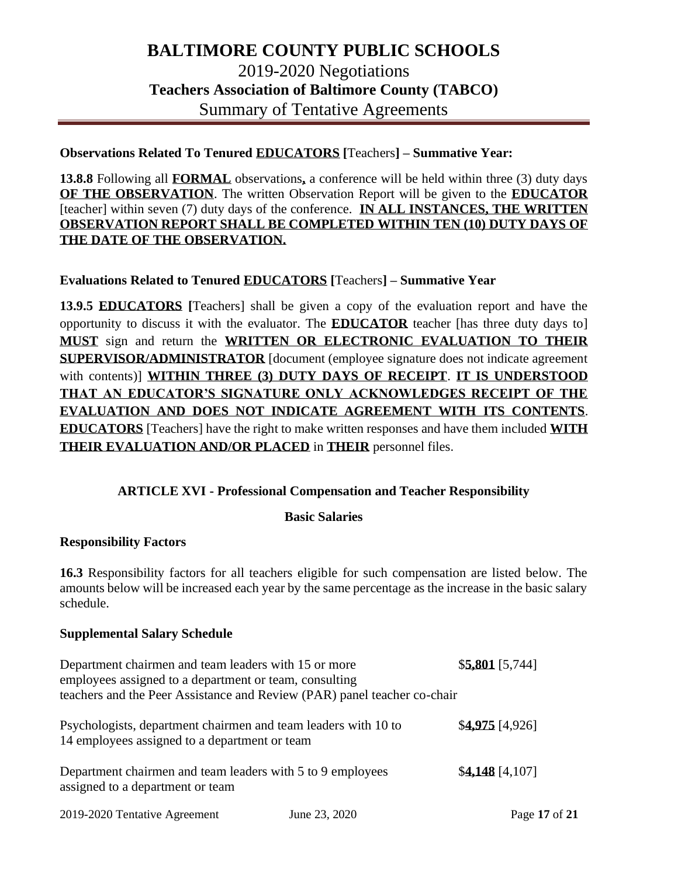#### **Observations Related To Tenured EDUCATORS [**Teachers**] – Summative Year:**

**13.8.8** Following all **FORMAL** observations**,** a conference will be held within three (3) duty days **OF THE OBSERVATION**. The written Observation Report will be given to the **EDUCATOR** [teacher] within seven (7) duty days of the conference. **IN ALL INSTANCES, THE WRITTEN OBSERVATION REPORT SHALL BE COMPLETED WITHIN TEN (10) DUTY DAYS OF THE DATE OF THE OBSERVATION.**

#### **Evaluations Related to Tenured EDUCATORS [**Teachers**] – Summative Year**

**13.9.5 EDUCATORS [**Teachers] shall be given a copy of the evaluation report and have the opportunity to discuss it with the evaluator. The **EDUCATOR** teacher [has three duty days to] **MUST** sign and return the **WRITTEN OR ELECTRONIC EVALUATION TO THEIR SUPERVISOR/ADMINISTRATOR** [document (employee signature does not indicate agreement with contents)] **WITHIN THREE (3) DUTY DAYS OF RECEIPT**. **IT IS UNDERSTOOD THAT AN EDUCATOR'S SIGNATURE ONLY ACKNOWLEDGES RECEIPT OF THE EVALUATION AND DOES NOT INDICATE AGREEMENT WITH ITS CONTENTS**. **EDUCATORS** [Teachers] have the right to make written responses and have them included **WITH THEIR EVALUATION AND/OR PLACED** in **THEIR** personnel files.

#### **ARTICLE XVI - Professional Compensation and Teacher Responsibility**

#### **Basic Salaries**

#### **Responsibility Factors**

**16.3** Responsibility factors for all teachers eligible for such compensation are listed below. The amounts below will be increased each year by the same percentage as the increase in the basic salary schedule.

#### **Supplemental Salary Schedule**

| Department chairmen and team leaders with 15 or more<br>employees assigned to a department or team, consulting<br>teachers and the Peer Assistance and Review (PAR) panel teacher co-chair | $$5,801$ [5,744] |
|--------------------------------------------------------------------------------------------------------------------------------------------------------------------------------------------|------------------|
| Psychologists, department chairmen and team leaders with 10 to<br>14 employees assigned to a department or team                                                                            | $$4.975$ [4,926] |
| Department chairmen and team leaders with 5 to 9 employees<br>assigned to a department or team                                                                                             | $$4,148$ [4,107] |
|                                                                                                                                                                                            |                  |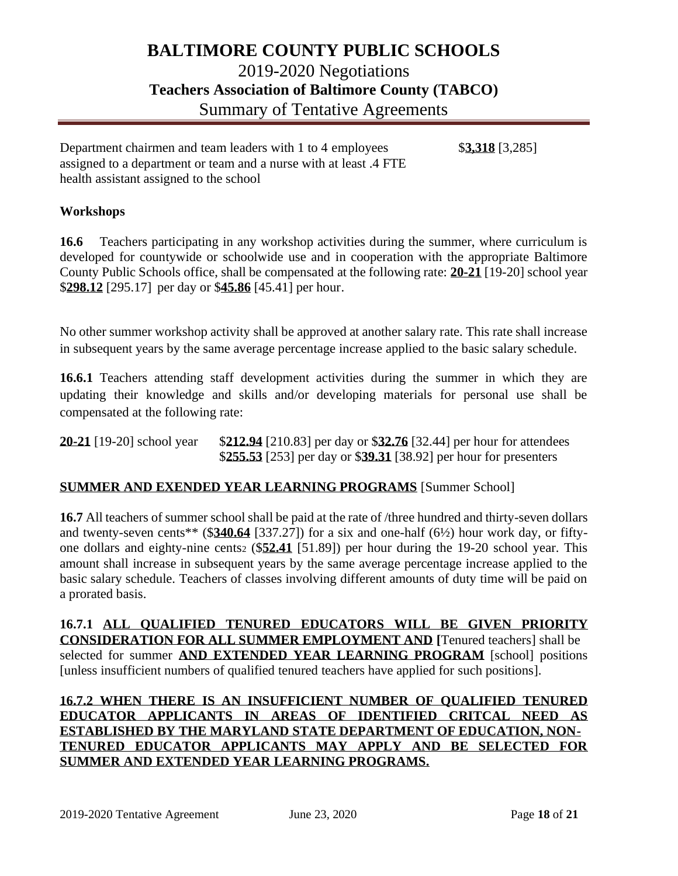Department chairmen and team leaders with 1 to 4 employees \$**3,318** [3,285] assigned to a department or team and a nurse with at least .4 FTE health assistant assigned to the school

### **Workshops**

**16.6** Teachers participating in any workshop activities during the summer, where curriculum is developed for countywide or schoolwide use and in cooperation with the appropriate Baltimore County Public Schools office, shall be compensated at the following rate: **20-21** [19-20] school year \$**298.12** [295.17] per day or \$**45.86** [45.41] per hour.

No other summer workshop activity shall be approved at another salary rate. This rate shall increase in subsequent years by the same average percentage increase applied to the basic salary schedule.

16.6.1 Teachers attending staff development activities during the summer in which they are updating their knowledge and skills and/or developing materials for personal use shall be compensated at the following rate:

**20-21** [19-20] school year \$**212.94** [210.83] per day or \$**32.76** [32.44] per hour for attendees \$**255.53** [253] per day or \$**39.31** [38.92] per hour for presenters

#### **SUMMER AND EXENDED YEAR LEARNING PROGRAMS** [Summer School]

**16.7** All teachers of summer school shall be paid at the rate of /three hundred and thirty-seven dollars and twenty-seven cents\*\* (\$**340.64** [337.27]) for a six and one-half (6½) hour work day, or fiftyone dollars and eighty-nine cents<sup>2</sup> (\$**52.41** [51.89]) per hour during the 19-20 school year. This amount shall increase in subsequent years by the same average percentage increase applied to the basic salary schedule. Teachers of classes involving different amounts of duty time will be paid on a prorated basis.

**16.7.1 ALL QUALIFIED TENURED EDUCATORS WILL BE GIVEN PRIORITY CONSIDERATION FOR ALL SUMMER EMPLOYMENT AND [**Tenured teachers] shall be selected for summer **AND EXTENDED YEAR LEARNING PROGRAM** [school] positions [unless insufficient numbers of qualified tenured teachers have applied for such positions].

**16.7.2 WHEN THERE IS AN INSUFFICIENT NUMBER OF QUALIFIED TENURED EDUCATOR APPLICANTS IN AREAS OF IDENTIFIED CRITCAL NEED AS ESTABLISHED BY THE MARYLAND STATE DEPARTMENT OF EDUCATION, NON-TENURED EDUCATOR APPLICANTS MAY APPLY AND BE SELECTED FOR SUMMER AND EXTENDED YEAR LEARNING PROGRAMS.**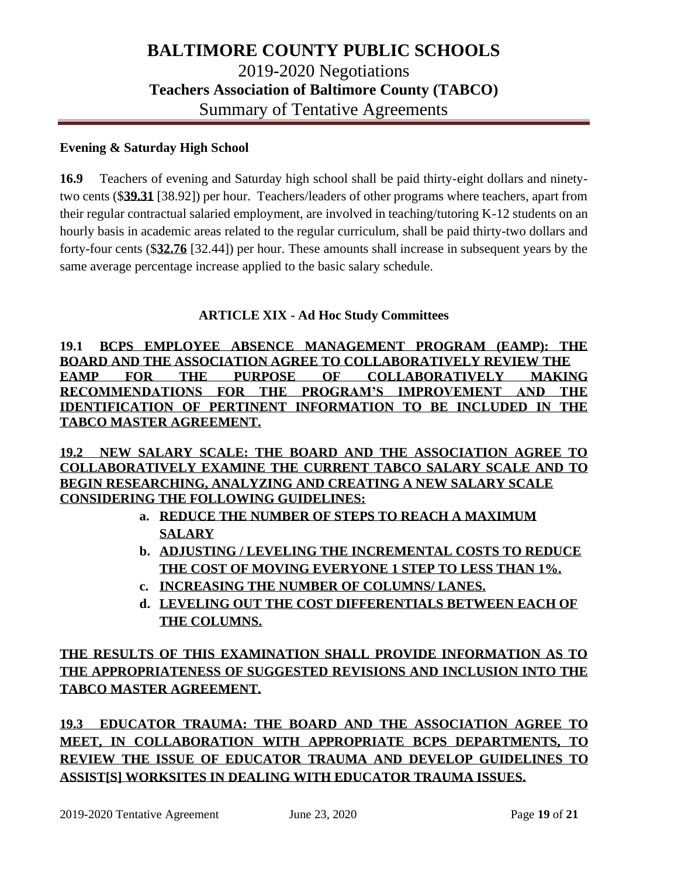#### **Evening & Saturday High School**

**16.9** Teachers of evening and Saturday high school shall be paid thirty-eight dollars and ninetytwo cents (\$**39.31** [38.92]) per hour. Teachers/leaders of other programs where teachers, apart from their regular contractual salaried employment, are involved in teaching/tutoring K-12 students on an hourly basis in academic areas related to the regular curriculum, shall be paid thirty-two dollars and forty-four cents (\$**32.76** [32.44]) per hour. These amounts shall increase in subsequent years by the same average percentage increase applied to the basic salary schedule.

### **ARTICLE XIX - Ad Hoc Study Committees**

**19.1 BCPS EMPLOYEE ABSENCE MANAGEMENT PROGRAM (EAMP): THE BOARD AND THE ASSOCIATION AGREE TO COLLABORATIVELY REVIEW THE EAMP FOR THE PURPOSE OF COLLABORATIVELY MAKING RECOMMENDATIONS FOR THE PROGRAM'S IMPROVEMENT AND THE IDENTIFICATION OF PERTINENT INFORMATION TO BE INCLUDED IN THE TABCO MASTER AGREEMENT.** 

**19.2 NEW SALARY SCALE: THE BOARD AND THE ASSOCIATION AGREE TO COLLABORATIVELY EXAMINE THE CURRENT TABCO SALARY SCALE AND TO BEGIN RESEARCHING, ANALYZING AND CREATING A NEW SALARY SCALE CONSIDERING THE FOLLOWING GUIDELINES:**

- **a. REDUCE THE NUMBER OF STEPS TO REACH A MAXIMUM SALARY**
- **b. ADJUSTING / LEVELING THE INCREMENTAL COSTS TO REDUCE THE COST OF MOVING EVERYONE 1 STEP TO LESS THAN 1%.**
- **c. INCREASING THE NUMBER OF COLUMNS/ LANES.**
- **d. LEVELING OUT THE COST DIFFERENTIALS BETWEEN EACH OF THE COLUMNS.**

**THE RESULTS OF THIS EXAMINATION SHALL PROVIDE INFORMATION AS TO THE APPROPRIATENESS OF SUGGESTED REVISIONS AND INCLUSION INTO THE TABCO MASTER AGREEMENT.** 

**19.3 EDUCATOR TRAUMA: THE BOARD AND THE ASSOCIATION AGREE TO MEET, IN COLLABORATION WITH APPROPRIATE BCPS DEPARTMENTS, TO REVIEW THE ISSUE OF EDUCATOR TRAUMA AND DEVELOP GUIDELINES TO ASSIST[S] WORKSITES IN DEALING WITH EDUCATOR TRAUMA ISSUES.**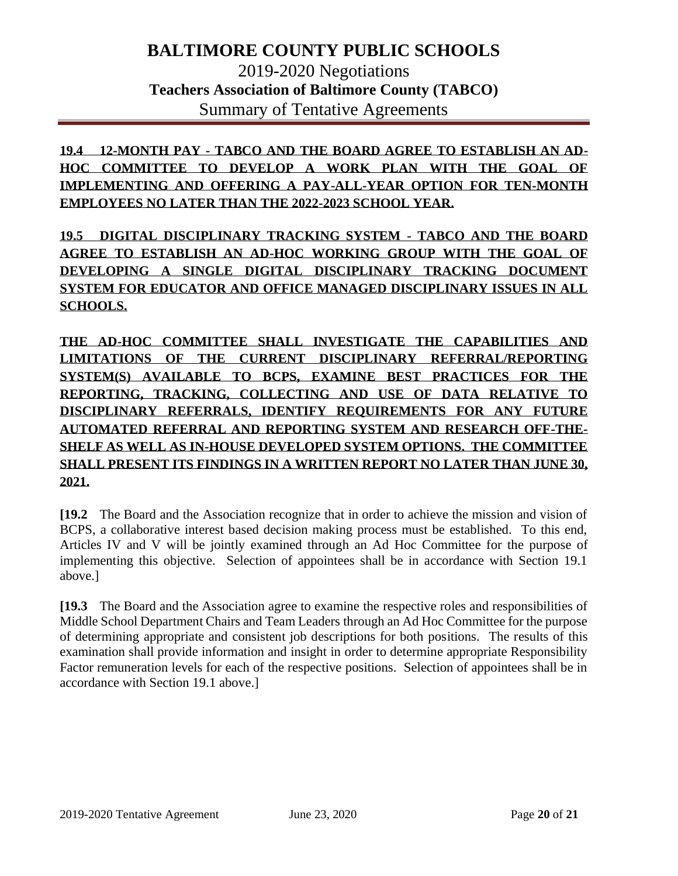**19.4 12-MONTH PAY - TABCO AND THE BOARD AGREE TO ESTABLISH AN AD-HOC COMMITTEE TO DEVELOP A WORK PLAN WITH THE GOAL OF IMPLEMENTING AND OFFERING A PAY-ALL-YEAR OPTION FOR TEN-MONTH EMPLOYEES NO LATER THAN THE 2022-2023 SCHOOL YEAR.** 

**19.5 DIGITAL DISCIPLINARY TRACKING SYSTEM - TABCO AND THE BOARD AGREE TO ESTABLISH AN AD-HOC WORKING GROUP WITH THE GOAL OF DEVELOPING A SINGLE DIGITAL DISCIPLINARY TRACKING DOCUMENT SYSTEM FOR EDUCATOR AND OFFICE MANAGED DISCIPLINARY ISSUES IN ALL SCHOOLS.** 

**THE AD-HOC COMMITTEE SHALL INVESTIGATE THE CAPABILITIES AND LIMITATIONS OF THE CURRENT DISCIPLINARY REFERRAL/REPORTING SYSTEM(S) AVAILABLE TO BCPS, EXAMINE BEST PRACTICES FOR THE REPORTING, TRACKING, COLLECTING AND USE OF DATA RELATIVE TO DISCIPLINARY REFERRALS, IDENTIFY REQUIREMENTS FOR ANY FUTURE AUTOMATED REFERRAL AND REPORTING SYSTEM AND RESEARCH OFF-THE-SHELF AS WELL AS IN-HOUSE DEVELOPED SYSTEM OPTIONS. THE COMMITTEE SHALL PRESENT ITS FINDINGS IN A WRITTEN REPORT NO LATER THAN JUNE 30, 2021.**

**[19.2** The Board and the Association recognize that in order to achieve the mission and vision of BCPS, a collaborative interest based decision making process must be established. To this end, Articles IV and V will be jointly examined through an Ad Hoc Committee for the purpose of implementing this objective. Selection of appointees shall be in accordance with Section 19.1 above.]

**[19.3** The Board and the Association agree to examine the respective roles and responsibilities of Middle School Department Chairs and Team Leaders through an Ad Hoc Committee for the purpose of determining appropriate and consistent job descriptions for both positions. The results of this examination shall provide information and insight in order to determine appropriate Responsibility Factor remuneration levels for each of the respective positions. Selection of appointees shall be in accordance with Section 19.1 above.]